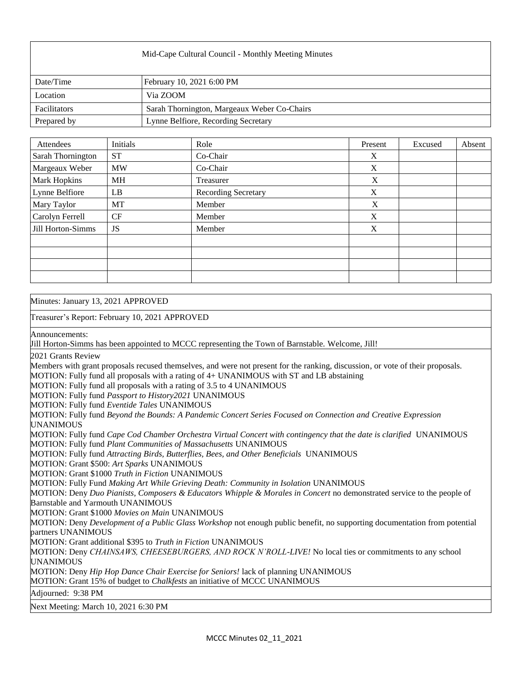| Mid-Cape Cultural Council - Monthly Meeting Minutes |                                             |  |  |  |
|-----------------------------------------------------|---------------------------------------------|--|--|--|
| Date/Time                                           | February 10, 2021 6:00 PM                   |  |  |  |
| Location                                            | Via ZOOM                                    |  |  |  |
| Facilitators                                        | Sarah Thornington, Margeaux Weber Co-Chairs |  |  |  |
| Prepared by                                         | Lynne Belfiore, Recording Secretary         |  |  |  |

| Attendees         | Initials  | Role                       | Present     | Excused | Absent |
|-------------------|-----------|----------------------------|-------------|---------|--------|
| Sarah Thornington | <b>ST</b> | Co-Chair                   | X           |         |        |
| Margeaux Weber    | <b>MW</b> | Co-Chair                   | X           |         |        |
| Mark Hopkins      | <b>MH</b> | Treasurer                  | $\mathbf X$ |         |        |
| Lynne Belfiore    | LB        | <b>Recording Secretary</b> | X           |         |        |
| Mary Taylor       | MT        | Member                     | X           |         |        |
| Carolyn Ferrell   | CF        | Member                     | X           |         |        |
| Jill Horton-Simms | JS        | Member                     | X           |         |        |
|                   |           |                            |             |         |        |
|                   |           |                            |             |         |        |
|                   |           |                            |             |         |        |
|                   |           |                            |             |         |        |

Minutes: January 13, 2021 APPROVED Treasurer's Report: February 10, 2021 APPROVED Announcements: Jill Horton-Simms has been appointed to MCCC representing the Town of Barnstable. Welcome, Jill! 2021 Grants Review Members with grant proposals recused themselves, and were not present for the ranking, discussion, or vote of their proposals. MOTION: Fully fund all proposals with a rating of 4+ UNANIMOUS with ST and LB abstaining MOTION: Fully fund all proposals with a rating of 3.5 to 4 UNANIMOUS MOTION: Fully fund *Passport to History2021* UNANIMOUS MOTION: Fully fund *Eventide Tales* UNANIMOUS MOTION: Fully fund *Beyond the Bounds: A Pandemic Concert Series Focused on Connection and Creative Expression*  UNANIMOUS MOTION: Fully fund *Cape Cod Chamber Orchestra Virtual Concert with contingency that the date is clarified* UNANIMOUS MOTION: Fully fund *Plant Communities of Massachusetts* UNANIMOUS MOTION: Fully fund *Attracting Birds, Butterflies, Bees, and Other Beneficials* UNANIMOUS MOTION: Grant \$500: *Art Sparks* UNANIMOUS MOTION: Grant \$1000 *Truth in Fiction* UNANIMOUS MOTION: Fully Fund *Making Art While Grieving Death: Community in Isolation* UNANIMOUS MOTION: Deny *Duo Pianists, Composers & Educators Whipple & Morales in Concert* no demonstrated service to the people of Barnstable and Yarmouth UNANIMOUS MOTION: Grant \$1000 *Movies on Main* UNANIMOUS MOTION: Deny *Development of a Public Glass Workshop* not enough public benefit, no supporting documentation from potential partners UNANIMOUS MOTION: Grant additional \$395 to *Truth in Fiction* UNANIMOUS MOTION: Deny *CHAINSAWS, CHEESEBURGERS, AND ROCK N'ROLL-LIVE!* No local ties or commitments to any school UNANIMOUS MOTION: Deny *Hip Hop Dance Chair Exercise for Seniors!* lack of planning UNANIMOUS MOTION: Grant 15% of budget to *Chalkfests* an initiative of MCCC UNANIMOUS Adjourned: 9:38 PM Next Meeting: March 10, 2021 6:30 PM